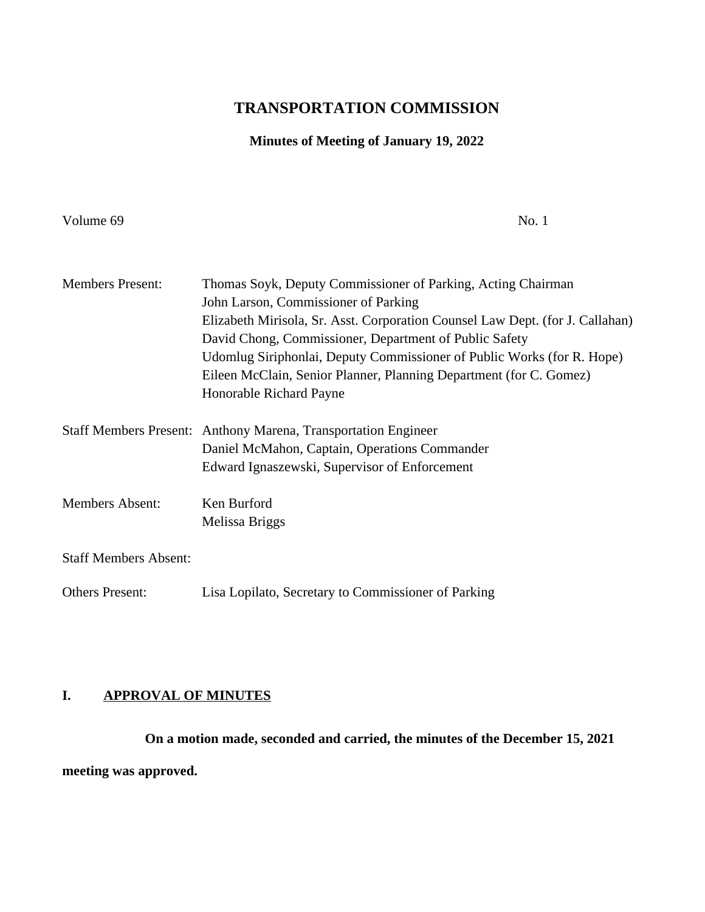# **TRANSPORTATION COMMISSION**

## **Minutes of Meeting of January 19, 2022**

Volume 69 No. 1

| <b>Members Present:</b>      | Thomas Soyk, Deputy Commissioner of Parking, Acting Chairman                  |
|------------------------------|-------------------------------------------------------------------------------|
|                              | John Larson, Commissioner of Parking                                          |
|                              | Elizabeth Mirisola, Sr. Asst. Corporation Counsel Law Dept. (for J. Callahan) |
|                              | David Chong, Commissioner, Department of Public Safety                        |
|                              | Udomlug Siriphonlai, Deputy Commissioner of Public Works (for R. Hope)        |
|                              | Eileen McClain, Senior Planner, Planning Department (for C. Gomez)            |
|                              | Honorable Richard Payne                                                       |
|                              | Staff Members Present: Anthony Marena, Transportation Engineer                |
|                              | Daniel McMahon, Captain, Operations Commander                                 |
|                              | Edward Ignaszewski, Supervisor of Enforcement                                 |
| <b>Members Absent:</b>       | Ken Burford                                                                   |
|                              | Melissa Briggs                                                                |
| <b>Staff Members Absent:</b> |                                                                               |
| <b>Others Present:</b>       | Lisa Lopilato, Secretary to Commissioner of Parking                           |

## **I. APPROVAL OF MINUTES**

**On a motion made, seconded and carried, the minutes of the December 15, 2021 meeting was approved.**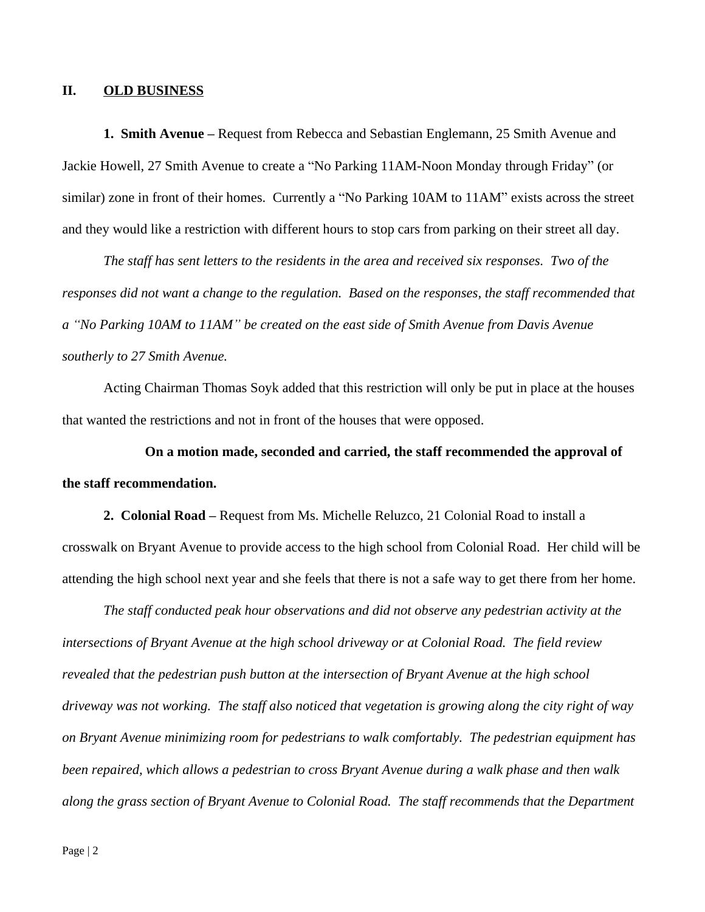### **II. OLD BUSINESS**

**1. Smith Avenue –** Request from Rebecca and Sebastian Englemann, 25 Smith Avenue and Jackie Howell, 27 Smith Avenue to create a "No Parking 11AM-Noon Monday through Friday" (or similar) zone in front of their homes. Currently a "No Parking 10AM to 11AM" exists across the street and they would like a restriction with different hours to stop cars from parking on their street all day.

*The staff has sent letters to the residents in the area and received six responses. Two of the responses did not want a change to the regulation. Based on the responses, the staff recommended that a "No Parking 10AM to 11AM" be created on the east side of Smith Avenue from Davis Avenue southerly to 27 Smith Avenue.*

Acting Chairman Thomas Soyk added that this restriction will only be put in place at the houses that wanted the restrictions and not in front of the houses that were opposed.

**On a motion made, seconded and carried, the staff recommended the approval of the staff recommendation.**

**2. Colonial Road –** Request from Ms. Michelle Reluzco, 21 Colonial Road to install a crosswalk on Bryant Avenue to provide access to the high school from Colonial Road. Her child will be attending the high school next year and she feels that there is not a safe way to get there from her home.

*The staff conducted peak hour observations and did not observe any pedestrian activity at the intersections of Bryant Avenue at the high school driveway or at Colonial Road. The field review revealed that the pedestrian push button at the intersection of Bryant Avenue at the high school driveway was not working. The staff also noticed that vegetation is growing along the city right of way on Bryant Avenue minimizing room for pedestrians to walk comfortably. The pedestrian equipment has been repaired, which allows a pedestrian to cross Bryant Avenue during a walk phase and then walk along the grass section of Bryant Avenue to Colonial Road. The staff recommends that the Department*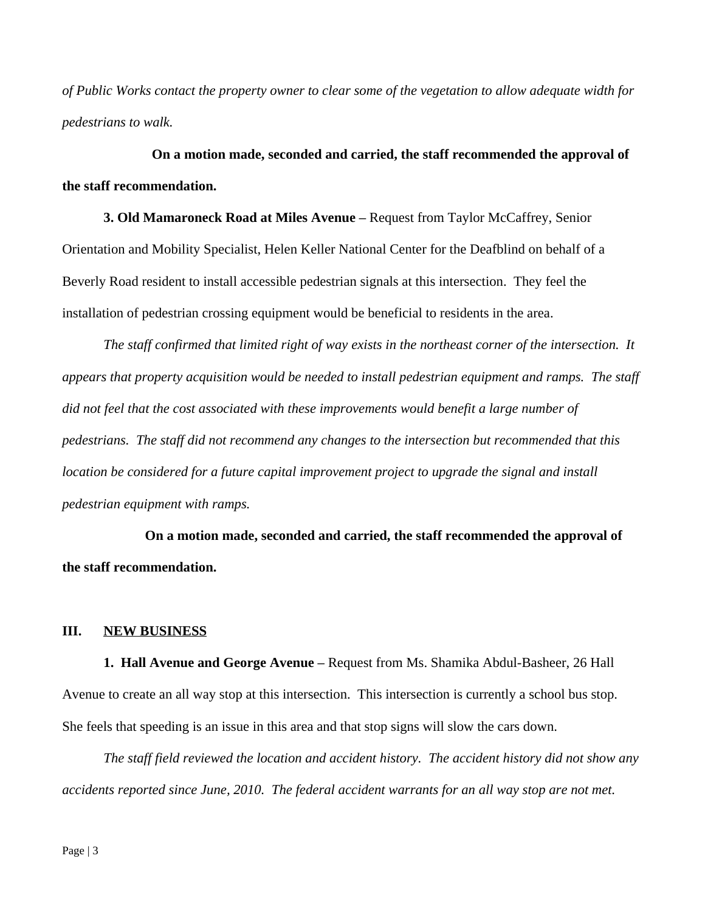*of Public Works contact the property owner to clear some of the vegetation to allow adequate width for pedestrians to walk.*

**On a motion made, seconded and carried, the staff recommended the approval of the staff recommendation.**

**3. Old Mamaroneck Road at Miles Avenue –** Request from Taylor McCaffrey, Senior Orientation and Mobility Specialist, Helen Keller National Center for the Deafblind on behalf of a Beverly Road resident to install accessible pedestrian signals at this intersection. They feel the installation of pedestrian crossing equipment would be beneficial to residents in the area.

*The staff confirmed that limited right of way exists in the northeast corner of the intersection. It appears that property acquisition would be needed to install pedestrian equipment and ramps. The staff did not feel that the cost associated with these improvements would benefit a large number of pedestrians. The staff did not recommend any changes to the intersection but recommended that this location be considered for a future capital improvement project to upgrade the signal and install pedestrian equipment with ramps.*

**On a motion made, seconded and carried, the staff recommended the approval of the staff recommendation.**

#### **III. NEW BUSINESS**

**1. Hall Avenue and George Avenue –** Request from Ms. Shamika Abdul-Basheer, 26 Hall Avenue to create an all way stop at this intersection. This intersection is currently a school bus stop. She feels that speeding is an issue in this area and that stop signs will slow the cars down.

*The staff field reviewed the location and accident history. The accident history did not show any accidents reported since June, 2010. The federal accident warrants for an all way stop are not met.*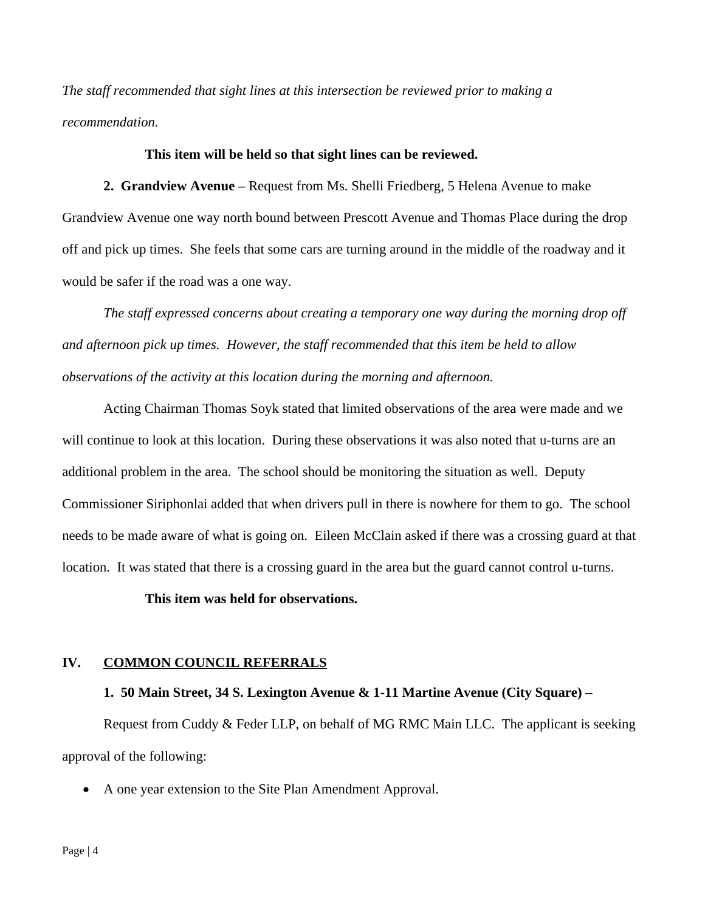*The staff recommended that sight lines at this intersection be reviewed prior to making a recommendation.*

#### **This item will be held so that sight lines can be reviewed.**

**2. Grandview Avenue –** Request from Ms. Shelli Friedberg, 5 Helena Avenue to make Grandview Avenue one way north bound between Prescott Avenue and Thomas Place during the drop off and pick up times. She feels that some cars are turning around in the middle of the roadway and it would be safer if the road was a one way.

*The staff expressed concerns about creating a temporary one way during the morning drop off and afternoon pick up times. However, the staff recommended that this item be held to allow observations of the activity at this location during the morning and afternoon.*

Acting Chairman Thomas Soyk stated that limited observations of the area were made and we will continue to look at this location. During these observations it was also noted that u-turns are an additional problem in the area. The school should be monitoring the situation as well. Deputy Commissioner Siriphonlai added that when drivers pull in there is nowhere for them to go. The school needs to be made aware of what is going on. Eileen McClain asked if there was a crossing guard at that location. It was stated that there is a crossing guard in the area but the guard cannot control u-turns.

#### **This item was held for observations.**

### **IV. COMMON COUNCIL REFERRALS**

### **1. 50 Main Street, 34 S. Lexington Avenue & 1-11 Martine Avenue (City Square) –**

Request from Cuddy & Feder LLP, on behalf of MG RMC Main LLC. The applicant is seeking approval of the following:

A one year extension to the Site Plan Amendment Approval.